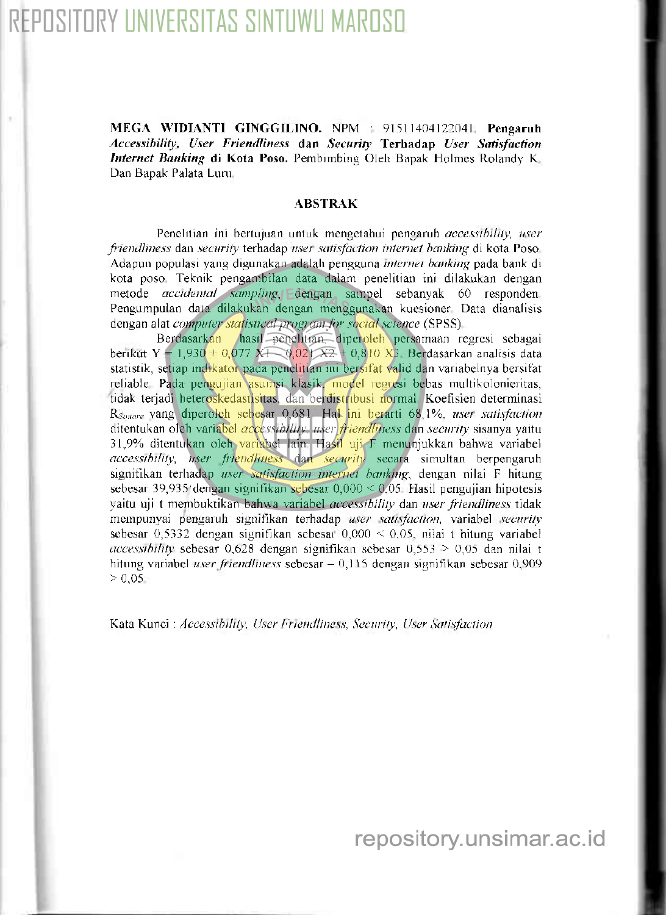## OSITORY UNIVERSITAS SINTUWU MAROSO

MEGA WIDIANTI GINGGILINO. NPM 91511404122041 Pengaruh Accessibility, User Friendliness dan Security Terhadap User Satisfaction Internet Banking di Kota Poso. Pembimbing Oleh Bapak Holmes Rolandy K Dan Bapak Palata Luru.

## **ABSTRAK**

Penelitian ini bertujuan untuk mengetahui pengaruh accessibility, user friendliness dan security terhadap user satisfaction internet banking di kota Poso Adapun populasi yang digunakan adalah pengguna internet banking pada bank di kota poso. Teknik pengambilan data dalam penelitian ini dilakukan dengan metode *accidental sampling*, dengan sampel sebanyak 60 responden Pengumpulan data dilakukan dengan menggunakan kuesioner Data dianalisis dengan alat computer statistical progrem for social science (SPSS).

Berdasarkan hasil penelitian diperoleh persamaan regresi sebagai berikut Y = 1,930 + 0,077 X1 0,021  $\overline{X2}$  + 0,810  $\overline{X3}$  Berdasarkan analisis data statistik, setiap indikator pada penelitian ini bersifat valid dan variabelnya bersifat reliable Pada pengujian asumsi klasik. model regresi bebas multikolonieritas, tidak terjadi heteroskedastisitas, dan berdistribusi normal Koefisien determinasi R<sub>Square</sub> yang diperolch scbesar 0,681. Hal ini berarti 68.1%, user satisfaction ditentukan oleh variabel accessibility, user friendliness dan security sisanya yaitu 31,9% ditentukan oleh variabel lain Hasil uji F menunjukkan bahwa variabel  $accessibility$ , user friendliness dan security secara simultan berpengaruh signifikan terhadap user scrtisfaction internet banking, dengan nilai F hitung sebesar 39,935 dengan signifikan sebesar  $0,000 \le 0.05$  Hasil pengujian hipotesis yaitu uji t membuktikan bahwa variabel *occessibility* dan user friendliness tidak mempunyai pengaruh signifikan terhadap user satisfaction, variabel security sebesar 0,5332 dengan signifikan sebesar  $0.000 \le 0.05$ , nilai t hitung variabel  $accessibility$  sebesar 0,628 dengan signifikan sebesar 0,553 > 0,05 dan nilai t hitung variabel user friendliness sebesar  $-0,115$  dengan signifikan sebesar 0,909  $> 0.05$ 

Kata Kunci : Accessibility. User Friendliness, Security, User Satisfaction.

repository.unsimar.ac.id